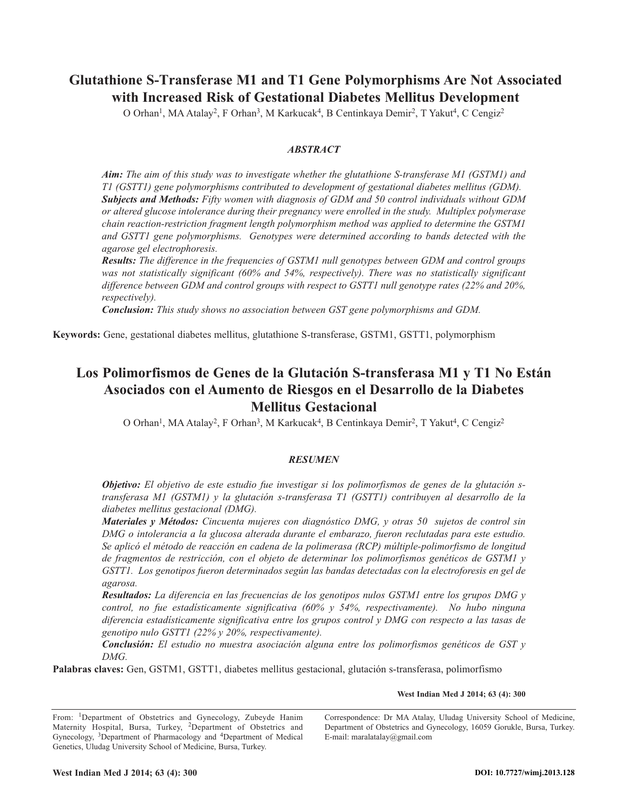# **Glutathione S-Transferase M1 and T1 Gene Polymorphisms Are Not Associated with Increased Risk of Gestational Diabetes Mellitus Development**

O Orhan<sup>1</sup>, MA Atalay<sup>2</sup>, F Orhan<sup>3</sup>, M Karkucak<sup>4</sup>, B Centinkaya Demir<sup>2</sup>, T Yakut<sup>4</sup>, C Cengiz<sup>2</sup>

# *ABSTRACT*

*Aim: The aim of this study was to investigate whether the glutathione S-transferase M1 (GSTM1) and T1 (GSTT1) gene polymorphisms contributed to development of gestational diabetes mellitus (GDM). Subjects and Methods: Fifty women with diagnosis of GDM and 50 control individuals without GDM or altered glucose intolerance during their pregnancy were enrolled in the study. Multiplex polymerase chain reaction-restriction fragment length polymorphism method was applied to determine the GSTM1 and GSTT1 gene polymorphisms. Genotypes were determined according to bands detected with the agarose gel electrophoresis.*

*Results: The difference in the frequencies of GSTM1 null genotypes between GDM and control groups was not statistically significant (60% and 54%, respectively). There was no statistically significant difference between GDM and control groups with respect to GSTT1 null genotype rates (22% and 20%, respectively).*

*Conclusion: This study shows no association between GST gene polymorphisms and GDM.*

**Keywords:** Gene, gestational diabetes mellitus, glutathione S-transferase, GSTM1, GSTT1, polymorphism

# **Los Polimorfismos de Genes de la Glutación S-transferasa M1 y T1 No Están Asociados con el Aumento de Riesgos en el Desarrollo de la Diabetes Mellitus Gestacional**

O Orhan<sup>1</sup>, MA Atalay<sup>2</sup>, F Orhan<sup>3</sup>, M Karkucak<sup>4</sup>, B Centinkaya Demir<sup>2</sup>, T Yakut<sup>4</sup>, C Cengiz<sup>2</sup>

## *RESUMEN*

*Objetivo: El objetivo de este estudio fue investigar si los polimorfismos de genes de la glutación stransferasa M1 (GSTM1) y la glutación s-transferasa T1 (GSTT1) contribuyen al desarrollo de la diabetes mellitus gestacional (DMG).*

*Materiales y Métodos: Cincuenta mujeres con diagnóstico DMG, y otras 50 sujetos de control sin DMG o intolerancia a la glucosa alterada durante el embarazo, fueron reclutadas para este estudio. Se aplicó el método de reacción en cadena de la polimerasa (RCP) múltiple-polimorfismo de longitud de fragmentos de restricción, con el objeto de determinar los polimorfismos genéticos de GSTM1 y GSTT1. Los genotipos fueron determinados según las bandas detectadas con la electroforesis en gel de agarosa.*

*Resultados: La diferencia en las frecuencias de los genotipos nulos GSTM1 entre los grupos DMG y control, no fue estadísticamente significativa (60% y 54%, respectivamente). No hubo ninguna diferencia estadísticamente significativa entre los grupos control y DMG con respecto a las tasas de genotipo nulo GSTT1 (22% y 20%, respectivamente).*

*Conclusión: El estudio no muestra asociación alguna entre los polimorfismos genéticos de GST y DMG.*

**Palabras claves:** Gen, GSTM1, GSTT1, diabetes mellitus gestacional, glutación s-transferasa, polimorfismo

**West Indian Med J 2014; 63 (4): 300**

From: <sup>1</sup>Department of Obstetrics and Gynecology, Zubeyde Hanim Maternity Hospital, Bursa, Turkey, 2Department of Obstetrics and Gynecology, 3Department of Pharmacology and 4Department of Medical Genetics, Uludag University School of Medicine, Bursa, Turkey.

Correspondence: Dr MA Atalay, Uludag University School of Medicine, Department of Obstetrics and Gynecology, 16059 Gorukle, Bursa, Turkey. E-mail: maralatalay@gmail.com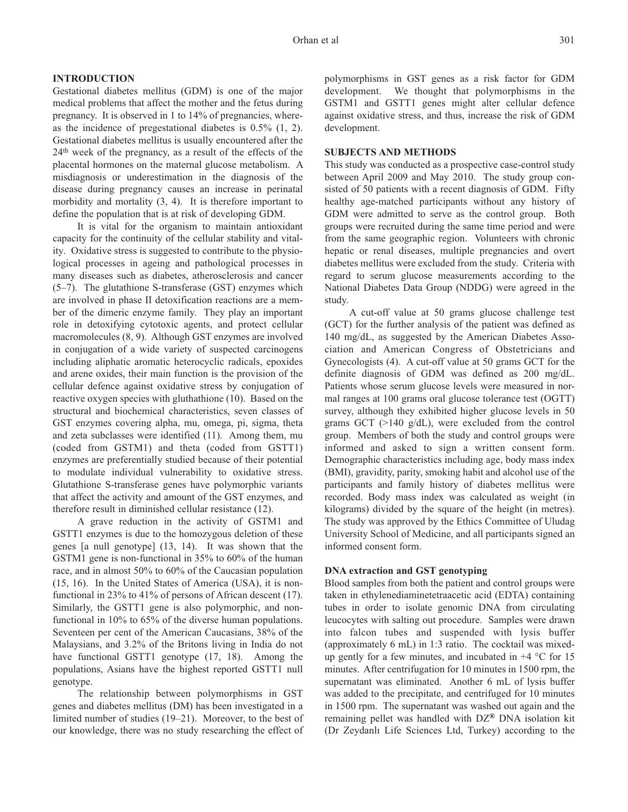### **INTRODUCTION**

Gestational diabetes mellitus (GDM) is one of the major medical problems that affect the mother and the fetus during pregnancy. It is observed in 1 to 14% of pregnancies, whereas the incidence of pregestational diabetes is 0.5% (1, 2). Gestational diabetes mellitus is usually encountered after the 24th week of the pregnancy, as a result of the effects of the placental hormones on the maternal glucose metabolism. A misdiagnosis or underestimation in the diagnosis of the disease during pregnancy causes an increase in perinatal morbidity and mortality (3, 4). It is therefore important to define the population that is at risk of developing GDM.

It is vital for the organism to maintain antioxidant capacity for the continuity of the cellular stability and vitality. Oxidative stress is suggested to contribute to the physiological processes in ageing and pathological processes in many diseases such as diabetes, atherosclerosis and cancer (5–7). The glutathione S-transferase (GST) enzymes which are involved in phase II detoxification reactions are a member of the dimeric enzyme family. They play an important role in detoxifying cytotoxic agents, and protect cellular macromolecules (8, 9). Although GST enzymes are involved in conjugation of a wide variety of suspected carcinogens including aliphatic aromatic heterocyclic radicals, epoxides and arene oxides, their main function is the provision of the cellular defence against oxidative stress by conjugation of reactive oxygen species with gluthathione (10). Based on the structural and biochemical characteristics, seven classes of GST enzymes covering alpha, mu, omega, pi, sigma, theta and zeta subclasses were identified (11). Among them, mu (coded from GSTM1) and theta (coded from GSTT1) enzymes are preferentially studied because of their potential to modulate individual vulnerability to oxidative stress. Glutathione S-transferase genes have polymorphic variants that affect the activity and amount of the GST enzymes, and therefore result in diminished cellular resistance (12).

A grave reduction in the activity of GSTM1 and GSTT1 enzymes is due to the homozygous deletion of these genes [a null genotype] (13, 14). It was shown that the GSTM1 gene is non-functional in 35% to 60% of the human race, and in almost 50% to 60% of the Caucasian population (15, 16). In the United States of America (USA), it is nonfunctional in 23% to 41% of persons of African descent (17). Similarly, the GSTT1 gene is also polymorphic, and nonfunctional in 10% to 65% of the diverse human populations. Seventeen per cent of the American Caucasians, 38% of the Malaysians, and 3.2% of the Britons living in India do not have functional GSTT1 genotype (17, 18). Among the populations, Asians have the highest reported GSTT1 null genotype.

The relationship between polymorphisms in GST genes and diabetes mellitus (DM) has been investigated in a limited number of studies (19–21). Moreover, to the best of our knowledge, there was no study researching the effect of polymorphisms in GST genes as a risk factor for GDM development. We thought that polymorphisms in the GSTM1 and GSTT1 genes might alter cellular defence against oxidative stress, and thus, increase the risk of GDM development.

## **SUBJECTS AND METHODS**

This study was conducted as a prospective case-control study between April 2009 and May 2010. The study group consisted of 50 patients with a recent diagnosis of GDM. Fifty healthy age-matched participants without any history of GDM were admitted to serve as the control group. Both groups were recruited during the same time period and were from the same geographic region. Volunteers with chronic hepatic or renal diseases, multiple pregnancies and overt diabetes mellitus were excluded from the study. Criteria with regard to serum glucose measurements according to the National Diabetes Data Group (NDDG) were agreed in the study.

A cut-off value at 50 grams glucose challenge test (GCT) for the further analysis of the patient was defined as 140 mg/dL, as suggested by the American Diabetes Association and American Congress of Obstetricians and Gynecologists (4). A cut-off value at 50 grams GCT for the definite diagnosis of GDM was defined as 200 mg/dL. Patients whose serum glucose levels were measured in normal ranges at 100 grams oral glucose tolerance test (OGTT) survey, although they exhibited higher glucose levels in 50 grams GCT (>140 g/dL), were excluded from the control group. Members of both the study and control groups were informed and asked to sign a written consent form. Demographic characteristics including age, body mass index (BMI), gravidity, parity, smoking habit and alcohol use of the participants and family history of diabetes mellitus were recorded. Body mass index was calculated as weight (in kilograms) divided by the square of the height (in metres). The study was approved by the Ethics Committee of Uludag University School of Medicine, and all participants signed an informed consent form.

## **DNA extraction and GST genotyping**

Blood samples from both the patient and control groups were taken in ethylenediaminetetraacetic acid (EDTA) containing tubes in order to isolate genomic DNA from circulating leucocytes with salting out procedure. Samples were drawn into falcon tubes and suspended with lysis buffer (approximately 6 mL) in 1:3 ratio. The cocktail was mixedup gently for a few minutes, and incubated in  $+4$  °C for 15 minutes. After centrifugation for 10 minutes in 1500 rpm, the supernatant was eliminated. Another 6 mL of lysis buffer was added to the precipitate, and centrifuged for 10 minutes in 1500 rpm. The supernatant was washed out again and the remaining pellet was handled with DZ**®** DNA isolation kit (Dr Zeydanlı Life Sciences Ltd, Turkey) according to the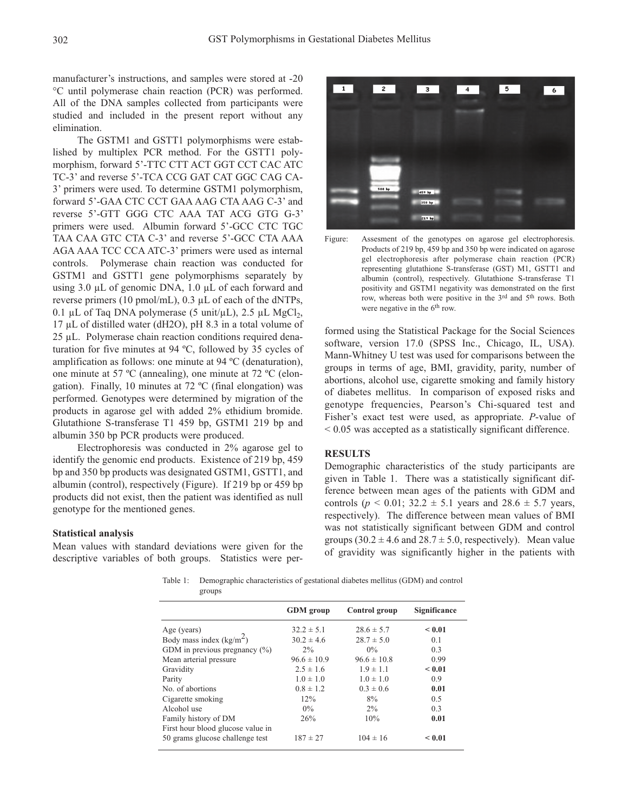manufacturer's instructions, and samples were stored at -20 °C until polymerase chain reaction (PCR) was performed. All of the DNA samples collected from participants were studied and included in the present report without any elimination.

The GSTM1 and GSTT1 polymorphisms were established by multiplex PCR method. For the GSTT1 polymorphism, forward 5'-TTC CTT ACT GGT CCT CAC ATC TC-3' and reverse 5'-TCA CCG GAT CAT GGC CAG CA-3' primers were used. To determine GSTM1 polymorphism, forward 5'-GAA CTC CCT GAA AAG CTA AAG C-3' and reverse 5'-GTT GGG CTC AAA TAT ACG GTG G-3' primers were used. Albumin forward 5'-GCC CTC TGC TAA CAA GTC CTA C-3' and reverse 5'-GCC CTA AAA AGA AAA TCC CCA ATC-3' primers were used as internal controls. Polymerase chain reaction was conducted for GSTM1 and GSTT1 gene polymorphisms separately by using 3.0 µL of genomic DNA, 1.0 µL of each forward and reverse primers (10 pmol/mL), 0.3 µL of each of the dNTPs, 0.1 µL of Taq DNA polymerase (5 unit/µL), 2.5 µL MgCl<sub>2</sub>, 17 µL of distilled water (dH2O), pH 8.3 in a total volume of 25 µL. Polymerase chain reaction conditions required denaturation for five minutes at 94 ºC, followed by 35 cycles of amplification as follows: one minute at 94 ºC (denaturation), one minute at 57 ºC (annealing), one minute at 72 ºC (elongation). Finally, 10 minutes at 72 ºC (final elongation) was performed. Genotypes were determined by migration of the products in agarose gel with added 2% ethidium bromide. Glutathione S-transferase T1 459 bp, GSTM1 219 bp and albumin 350 bp PCR products were produced.

Electrophoresis was conducted in 2% agarose gel to identify the genomic end products. Existence of 219 bp, 459 bp and 350 bp products was designated GSTM1, GSTT1, and albumin (control), respectively (Figure). If 219 bp or 459 bp products did not exist, then the patient was identified as null genotype for the mentioned genes.

#### **Statistical analysis**

Mean values with standard deviations were given for the descriptive variables of both groups. Statistics were per $\overline{\mathbf{1}}$  $\overline{z}$  $\overline{\phantom{0}}$  $\overline{5}$  $\overline{4}$  $\overline{6}$ 



formed using the Statistical Package for the Social Sciences software, version 17.0 (SPSS Inc., Chicago, IL, USA). Mann-Whitney U test was used for comparisons between the groups in terms of age, BMI, gravidity, parity, number of abortions, alcohol use, cigarette smoking and family history of diabetes mellitus. In comparison of exposed risks and genotype frequencies, Pearson's Chi-squared test and Fisher's exact test were used, as appropriate. *P*-value of < 0.05 was accepted as a statistically significant difference.

### **RESULTS**

Demographic characteristics of the study participants are given in Table 1. There was a statistically significant difference between mean ages of the patients with GDM and controls ( $p < 0.01$ ; 32.2  $\pm$  5.1 years and 28.6  $\pm$  5.7 years, respectively). The difference between mean values of BMI was not statistically significant between GDM and control groups  $(30.2 \pm 4.6 \text{ and } 28.7 \pm 5.0, \text{ respectively})$ . Mean value of gravidity was significantly higher in the patients with

Table 1: Demographic characteristics of gestational diabetes mellitus (GDM) and control groups

| <b>GDM</b> group | Control group   | <b>Significance</b> |
|------------------|-----------------|---------------------|
| $32.2 \pm 5.1$   | $28.6 \pm 5.7$  | < 0.01              |
| $30.2 \pm 4.6$   | $28.7 \pm 5.0$  | 0.1                 |
| $2\%$            | $0\%$           | 0.3                 |
| $96.6 \pm 10.9$  | $96.6 \pm 10.8$ | 0.99                |
| $2.5 \pm 1.6$    | $1.9 \pm 1.1$   | < 0.01              |
| $1.0 \pm 1.0$    | $1.0 \pm 1.0$   | 0.9                 |
| $0.8 \pm 1.2$    | $0.3 \pm 0.6$   | 0.01                |
| 12%              | 8%              | 0.5                 |
| $0\%$            | $2\%$           | 0.3                 |
| 26%              | 10%             | 0.01                |
|                  |                 |                     |
| $187 \pm 27$     | $104 \pm 16$    | < 0.01              |
|                  |                 |                     |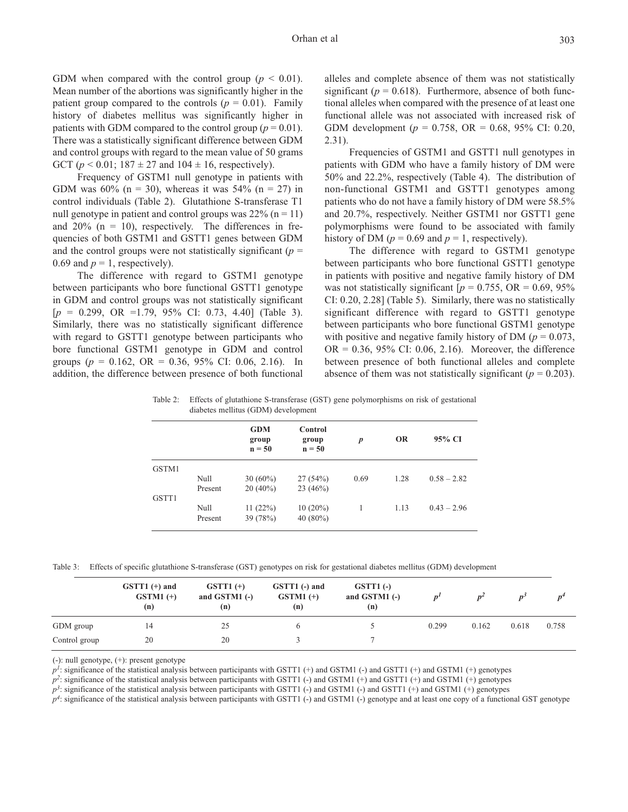GDM when compared with the control group  $(p < 0.01)$ . Mean number of the abortions was significantly higher in the patient group compared to the controls  $(p = 0.01)$ . Family history of diabetes mellitus was significantly higher in patients with GDM compared to the control group ( $p = 0.01$ ). There was a statistically significant difference between GDM and control groups with regard to the mean value of 50 grams GCT ( $p < 0.01$ ; 187  $\pm$  27 and 104  $\pm$  16, respectively).

Frequency of GSTM1 null genotype in patients with GDM was  $60\%$  (n = 30), whereas it was  $54\%$  (n = 27) in control individuals (Table 2). Glutathione S-transferase T1 null genotype in patient and control groups was  $22\%$  (n = 11) and  $20\%$  (n = 10), respectively. The differences in frequencies of both GSTM1 and GSTT1 genes between GDM and the control groups were not statistically significant  $(p =$ 0.69 and  $p = 1$ , respectively).

The difference with regard to GSTM1 genotype between participants who bore functional GSTT1 genotype in GDM and control groups was not statistically significant [*p* = 0.299, OR =1.79, 95% CI: 0.73, 4.40] (Table 3). Similarly, there was no statistically significant difference with regard to GSTT1 genotype between participants who bore functional GSTM1 genotype in GDM and control groups ( $p = 0.162$ , OR = 0.36, 95% CI: 0.06, 2.16). In addition, the difference between presence of both functional alleles and complete absence of them was not statistically significant ( $p = 0.618$ ). Furthermore, absence of both functional alleles when compared with the presence of at least one functional allele was not associated with increased risk of GDM development (*p* = 0.758, OR = 0.68, 95% CI: 0.20, 2.31).

Frequencies of GSTM1 and GSTT1 null genotypes in patients with GDM who have a family history of DM were 50% and 22.2%, respectively (Table 4). The distribution of non-functional GSTM1 and GSTT1 genotypes among patients who do not have a family history of DM were 58.5% and 20.7%, respectively. Neither GSTM1 nor GSTT1 gene polymorphisms were found to be associated with family history of DM ( $p = 0.69$  and  $p = 1$ , respectively).

The difference with regard to GSTM1 genotype between participants who bore functional GSTT1 genotype in patients with positive and negative family history of DM was not statistically significant  $[p = 0.755, \text{ OR } = 0.69, 95\%$ CI: 0.20, 2.28] (Table 5). Similarly, there was no statistically significant difference with regard to GSTT1 genotype between participants who bore functional GSTM1 genotype with positive and negative family history of DM ( $p = 0.073$ ,  $OR = 0.36, 95\% \text{ CI: } 0.06, 2.16$ . Moreover, the difference between presence of both functional alleles and complete absence of them was not statistically significant ( $p = 0.203$ ).

Table 2: Effects of glutathione S-transferase (GST) gene polymorphisms on risk of gestational diabetes mellitus (GDM) development

|       |         | <b>GDM</b><br>group<br>$n = 50$ | Control<br>group<br>$n = 50$ | p    | <b>OR</b> | 95% CI        |
|-------|---------|---------------------------------|------------------------------|------|-----------|---------------|
| GSTM1 |         |                                 |                              |      |           |               |
|       | Null    | $30(60\%)$                      | 27(54%)                      | 0.69 | 1.28      | $0.58 - 2.82$ |
|       | Present | $20(40\%)$                      | 23 $(46%)$                   |      |           |               |
| GSTT1 |         |                                 |                              |      |           |               |
|       | Null    | 11(22%)                         | $10(20\%)$                   |      | 1.13      | $0.43 - 2.96$ |
|       | Present | 39 (78%)                        | 40 $(80\%)$                  |      |           |               |

Table 3: Effects of specific glutathione S-transferase (GST) genotypes on risk for gestational diabetes mellitus (GDM) development

|               | $GSTT1 (+)$ and<br>$GSTM1 (+)$<br>(n) | $GSTT1 (+)$<br>and GSTM1 $(-)$<br>(n) | GSTT1 (-) and<br>$GSTM1 (+)$<br>(n) | $GSTT1$ (-)<br>and GSTM1 $(-)$<br>(n) |       |       |       | n"    |
|---------------|---------------------------------------|---------------------------------------|-------------------------------------|---------------------------------------|-------|-------|-------|-------|
| GDM group     | 14                                    | 25                                    |                                     |                                       | 0.299 | 0.162 | 0.618 | 0.758 |
| Control group | 20                                    | 20                                    |                                     |                                       |       |       |       |       |

(-): null genotype, (+): present genotype

 $p<sup>I</sup>$ : significance of the statistical analysis between participants with GSTT1 (+) and GSTM1 (-) and GSTM1 (+) and GSTM1 (+) genotypes

 $p^2$ : significance of the statistical analysis between participants with GSTT1 (-) and GSTM1 (+) and GSTM1 (+) and GSTM1 (+) genotypes

 $p^3$ : significance of the statistical analysis between participants with GSTT1 (-) and GSTM1 (-) and GSTT1 (+) and GSTM1 (+) genotypes

 $p^4$ : significance of the statistical analysis between participants with GSTT1 (-) and GSTM1 (-) genotype and at least one copy of a functional GST genotype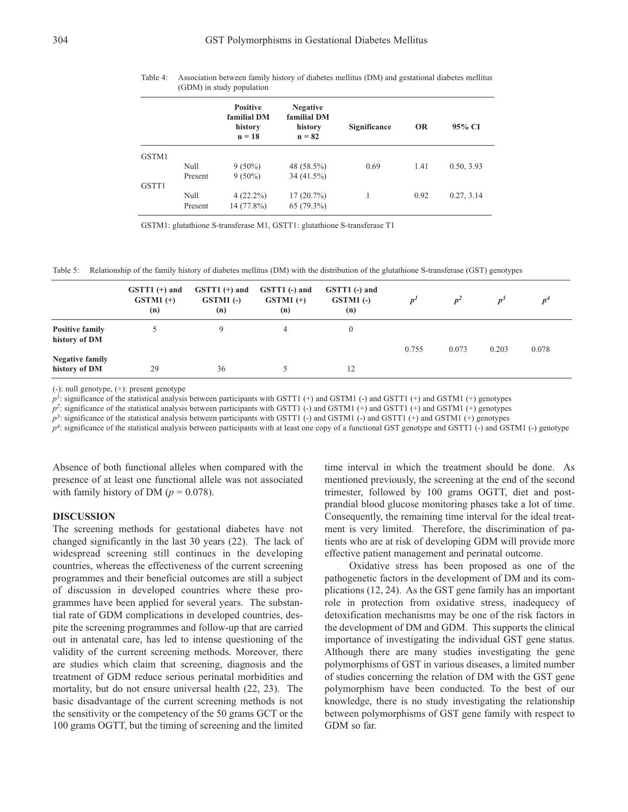|       |         | <b>Positive</b><br>familial DM<br>history<br>$n = 18$ | <b>Negative</b><br>familial DM<br>history<br>$n = 82$ | Significance | <b>OR</b> | 95% CI     |
|-------|---------|-------------------------------------------------------|-------------------------------------------------------|--------------|-----------|------------|
| GSTM1 |         |                                                       |                                                       |              |           |            |
|       | Null    | $9(50\%)$                                             | 48 (58.5%)                                            | 0.69         | 1.41      | 0.50, 3.93 |
|       | Present | $9(50\%)$                                             | $34(41.5\%)$                                          |              |           |            |
| GSTT1 |         |                                                       |                                                       |              |           |            |
|       | Null    | $4(22.2\%)$                                           | $17(20.7\%)$                                          |              | 0.92      | 0.27, 3.14 |
|       | Present | 14 (77.8%)                                            | $65(79.3\%)$                                          |              |           |            |

Table 4: Association between family history of diabetes mellitus (DM) and gestational diabetes mellitus (GDM) in study population

GSTM1: glutathione S-transferase M1, GSTT1: glutathione S-transferase T1

Table 5: Relationship of the family history of diabetes mellitus (DM) with the distribution of the glutathione S-transferase (GST) genotypes

|                                         | $GSTT1 (+)$ and<br>$GSTM1 (+)$<br>(n) | $GSTT1 (+)$ and<br>$GSTM1$ (-)<br>(n) | GSTT1 (-) and<br>$GSTM1 (+)$<br>(n) | GSTT1 (-) and<br>$GSTM1$ (-)<br>(n) | n <sup>t</sup> | $p^2$ | $D^3$ | $D^4$ |
|-----------------------------------------|---------------------------------------|---------------------------------------|-------------------------------------|-------------------------------------|----------------|-------|-------|-------|
| <b>Positive family</b><br>history of DM |                                       | Q                                     | 4                                   | 0                                   | 0.755          | 0.073 | 0.203 | 0.078 |
| <b>Negative family</b><br>history of DM | 29                                    | 36                                    |                                     | 12                                  |                |       |       |       |

(-): null genotype, (+): present genotype

 $p^1$ : significance of the statistical analysis between participants with GSTT1 (+) and GSTM1 (-) and GSTM1 (+) genotypes

 $p^2$ : significance of the statistical analysis between participants with GSTT1 (-) and GSTM1 (+) and GSTT1 (+) and GSTM1 (+) genotypes

 $p^3$ : significance of the statistical analysis between participants with GSTT1 (-) and GSTM1 (-) and GSTT1 (+) and GSTM1 (+) genotypes

 $p^4$ : significance of the statistical analysis between participants with at least one copy of a functional GST genotype and GSTT1 (-) and GSTM1 (-) genotype

Absence of both functional alleles when compared with the presence of at least one functional allele was not associated with family history of DM  $(p = 0.078)$ .

#### **DISCUSSION**

The screening methods for gestational diabetes have not changed significantly in the last 30 years (22). The lack of widespread screening still continues in the developing countries, whereas the effectiveness of the current screening programmes and their beneficial outcomes are still a subject of discussion in developed countries where these programmes have been applied for several years. The substantial rate of GDM complications in developed countries, despite the screening programmes and follow-up that are carried out in antenatal care, has led to intense questioning of the validity of the current screening methods. Moreover, there are studies which claim that screening, diagnosis and the treatment of GDM reduce serious perinatal morbidities and mortality, but do not ensure universal health (22, 23). The basic disadvantage of the current screening methods is not the sensitivity or the competency of the 50 grams GCT or the 100 grams OGTT, but the timing of screening and the limited

time interval in which the treatment should be done. As mentioned previously, the screening at the end of the second trimester, followed by 100 grams OGTT, diet and postprandial blood glucose monitoring phases take a lot of time. Consequently, the remaining time interval for the ideal treatment is very limited. Therefore, the discrimination of patients who are at risk of developing GDM will provide more effective patient management and perinatal outcome.

Oxidative stress has been proposed as one of the pathogenetic factors in the development of DM and its complications (12, 24). As the GST gene family has an important role in protection from oxidative stress, inadequecy of detoxification mechanisms may be one of the risk factors in the development of DM and GDM. This supports the clinical importance of investigating the individual GST gene status. Although there are many studies investigating the gene polymorphisms of GST in various diseases, a limited number of studies concerning the relation of DM with the GST gene polymorphism have been conducted. To the best of our knowledge, there is no study investigating the relationship between polymorphisms of GST gene family with respect to GDM so far.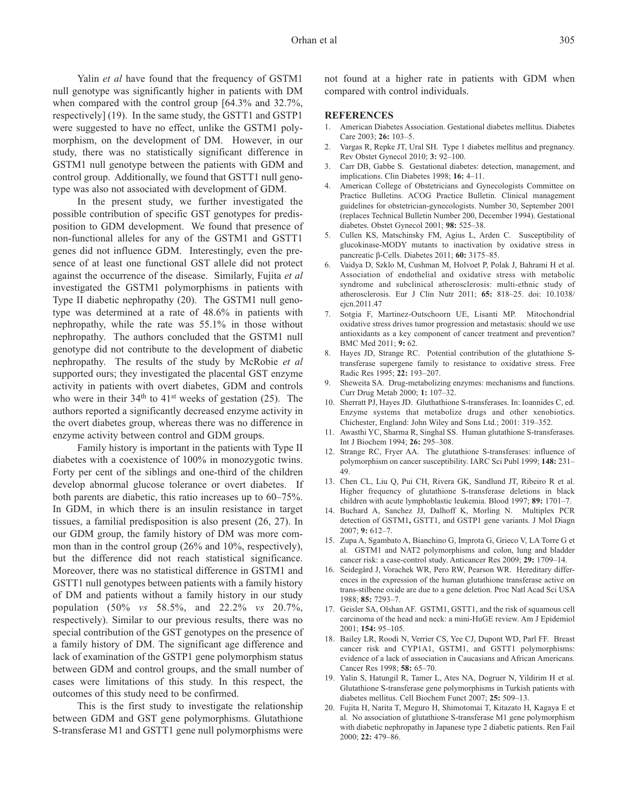Yalin *et al* have found that the frequency of GSTM1 null genotype was significantly higher in patients with DM when compared with the control group [64.3% and 32.7%, respectively] (19). In the same study, the GSTT1 and GSTP1 were suggested to have no effect, unlike the GSTM1 polymorphism, on the development of DM. However, in our study, there was no statistically significant difference in GSTM1 null genotype between the patients with GDM and control group. Additionally, we found that GSTT1 null genotype was also not associated with development of GDM.

In the present study, we further investigated the possible contribution of specific GST genotypes for predisposition to GDM development. We found that presence of non-functional alleles for any of the GSTM1 and GSTT1 genes did not influence GDM. Interestingly, even the presence of at least one functional GST allele did not protect against the occurrence of the disease. Similarly, Fujita *et al* investigated the GSTM1 polymorphisms in patients with Type II diabetic nephropathy (20). The GSTM1 null genotype was determined at a rate of 48.6% in patients with nephropathy, while the rate was 55.1% in those without nephropathy. The authors concluded that the GSTM1 null genotype did not contribute to the development of diabetic nephropathy. The results of the study by McRobie *et al* supported ours; they investigated the placental GST enzyme activity in patients with overt diabetes, GDM and controls who were in their 34<sup>th</sup> to 41<sup>st</sup> weeks of gestation (25). The authors reported a significantly decreased enzyme activity in the overt diabetes group, whereas there was no difference in enzyme activity between control and GDM groups.

Family history is important in the patients with Type II diabetes with a coexistence of 100% in monozygotic twins. Forty per cent of the siblings and one-third of the children develop abnormal glucose tolerance or overt diabetes. If both parents are diabetic, this ratio increases up to 60–75%. In GDM, in which there is an insulin resistance in target tissues, a familial predisposition is also present (26, 27). In our GDM group, the family history of DM was more common than in the control group (26% and 10%, respectively), but the difference did not reach statistical significance. Moreover, there was no statistical difference in GSTM1 and GSTT1 null genotypes between patients with a family history of DM and patients without a family history in our study population (50% *vs* 58.5%, and 22.2% *vs* 20.7%, respectively). Similar to our previous results, there was no special contribution of the GST genotypes on the presence of a family history of DM. The significant age difference and lack of examination of the GSTP1 gene polymorphism status between GDM and control groups, and the small number of cases were limitations of this study. In this respect, the outcomes of this study need to be confirmed.

This is the first study to investigate the relationship between GDM and GST gene polymorphisms. Glutathione S-transferase M1 and GSTT1 gene null polymorphisms were not found at a higher rate in patients with GDM when compared with control individuals.

#### **REFERENCES**

- 1. American Diabetes Association. Gestational diabetes mellitus. Diabetes Care 2003; **26:** 103–5.
- 2. Vargas R, Repke JT, Ural SH. Type 1 diabetes mellitus and pregnancy. Rev Obstet Gynecol 2010; **3:** 92–100.
- 3. Carr DB, Gabbe S. Gestational diabetes: detection, management, and implications. Clin Diabetes 1998; **16:** 4–11.
- 4. American College of Obstetricians and Gynecologists Committee on Practice Bulletins. ACOG Practice Bulletin. Clinical management guidelines for obstetrician-gynecologists. Number 30, September 2001 (replaces Technical Bulletin Number 200, December 1994). Gestational diabetes. Obstet Gynecol 2001; **98:** 525–38.
- 5. Cullen KS, Matschinsky FM, Agius L, Arden C. Susceptibility of glucokinase-MODY mutants to inactivation by oxidative stress in pancreatic β-Cells. Diabetes 2011; **60:** 3175–85.
- 6. Vaidya D, Szklo M, Cushman M, Holvoet P, Polak J, Bahrami H et al. Association of endothelial and oxidative stress with metabolic syndrome and subclinical atherosclerosis: multi-ethnic study of atherosclerosis. Eur J Clin Nutr 2011; **65:** 818–25. doi: 10.1038/ eicn.2011.47
- 7. Sotgia F, Martinez-Outschoorn UE, Lisanti MP. Mitochondrial oxidative stress drives tumor progression and metastasis: should we use antioxidants as a key component of cancer treatment and prevention? BMC Med 2011; **9:** 62.
- 8. Hayes JD, Strange RC. Potential contribution of the glutathione Stransferase supergene family to resistance to oxidative stress. Free Radic Res 1995; **22:** 193–207.
- 9. Sheweita SA. Drug-metabolizing enzymes: mechanisms and functions. Curr Drug Metab 2000; **1:** 107–32.
- 10. Sherratt PJ, Hayes JD. Gluthathione S-transferases. In: Ioannides C, ed. Enzyme systems that metabolize drugs and other xenobiotics. Chichester, England: John Wiley and Sons Ltd.; 2001: 319–352.
- 11. Awasthi YC, Sharma R, Singhal SS. Human glutathione S-transferases. Int J Biochem 1994; **26:** 295–308.
- 12. Strange RC, Fryer AA. The glutathione S-transferases: influence of polymorphism on cancer susceptibility. IARC Sci Publ 1999; **148:** 231– 49.
- 13. Chen CL, Liu Q, Pui CH, Rivera GK, Sandlund JT, Ribeiro R et al. Higher frequency of glutathione S-transferase deletions in black children with acute lymphoblastic leukemia. Blood 1997; **89:** 1701–7.
- 14. Buchard A, Sanchez JJ, Dalhoff K, Morling N. Multiplex PCR detection of GSTM1**,** GSTT1, and GSTP1 gene variants. J Mol Diagn 2007; **9:** 612–7.
- 15. Zupa A, Sgambato A, Bianchino G, Improta G, Grieco V, LA Torre G et al. GSTM1 and NAT2 polymorphisms and colon, lung and bladder cancer risk: a case-control study. Anticancer Res 2009; **29:** 1709–14.
- 16. Seidegård J, Vorachek WR, Pero RW, Pearson WR. Hereditary differences in the expression of the human glutathione transferase active on trans-stilbene oxide are due to a gene deletion. Proc Natl Acad Sci USA 1988; **85:** 7293–7.
- 17. Geisler SA, Olshan AF. GSTM1, GSTT1, and the risk of squamous cell carcinoma of the head and neck: a mini-HuGE review. Am J Epidemiol 2001; **154:** 95–105.
- 18. Bailey LR, Roodi N, Verrier CS, Yee CJ, Dupont WD, Parl FF. Breast cancer risk and CYP1A1, GSTM1, and GSTT1 polymorphisms: evidence of a lack of association in Caucasians and African Americans. Cancer Res 1998; **58:** 65–70.
- 19. Yalin S, Hatungil R, Tamer L, Ates NA, Dogruer N, Yildirim H et al. Glutathione S-transferase gene polymorphisms in Turkish patients with diabetes mellitus. Cell Biochem Funct 2007; **25:** 509–13.
- 20. Fujita H, Narita T, Meguro H, Shimotomai T, Kitazato H, Kagaya E et al. No association of glutathione S-transferase M1 gene polymorphism with diabetic nephropathy in Japanese type 2 diabetic patients. Ren Fail 2000; **22:** 479–86.